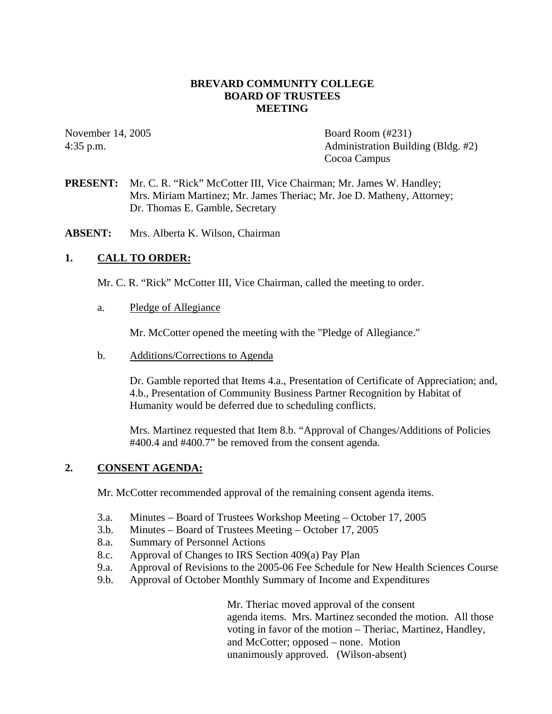## **BREVARD COMMUNITY COLLEGE BOARD OF TRUSTEES MEETING**

November 14, 2005 Board Room (#231) 4:35 p.m. Administration Building (Bldg. #2) Cocoa Campus

**PRESENT:** Mr. C. R. "Rick" McCotter III, Vice Chairman; Mr. James W. Handley; Mrs. Miriam Martinez; Mr. James Theriac; Mr. Joe D. Matheny, Attorney; Dr. Thomas E. Gamble, Secretary

**ABSENT:** Mrs. Alberta K. Wilson, Chairman

## **1. CALL TO ORDER:**

Mr. C. R. "Rick" McCotter III, Vice Chairman, called the meeting to order.

a. Pledge of Allegiance

Mr. McCotter opened the meeting with the "Pledge of Allegiance."

b. Additions/Corrections to Agenda

Dr. Gamble reported that Items 4.a., Presentation of Certificate of Appreciation; and, 4.b., Presentation of Community Business Partner Recognition by Habitat of Humanity would be deferred due to scheduling conflicts.

Mrs. Martinez requested that Item 8.b. "Approval of Changes/Additions of Policies #400.4 and #400.7" be removed from the consent agenda.

#### **2. CONSENT AGENDA:**

Mr. McCotter recommended approval of the remaining consent agenda items.

- 3.a. Minutes Board of Trustees Workshop Meeting October 17, 2005
- 3.b. Minutes Board of Trustees Meeting October 17, 2005
- 8.a. Summary of Personnel Actions
- 8.c. Approval of Changes to IRS Section 409(a) Pay Plan
- 9.a. Approval of Revisions to the 2005-06 Fee Schedule for New Health Sciences Course
- 9.b. Approval of October Monthly Summary of Income and Expenditures

Mr. Theriac moved approval of the consent agenda items. Mrs. Martinez seconded the motion. All those voting in favor of the motion – Theriac, Martinez, Handley, and McCotter; opposed – none. Motion unanimously approved. (Wilson-absent)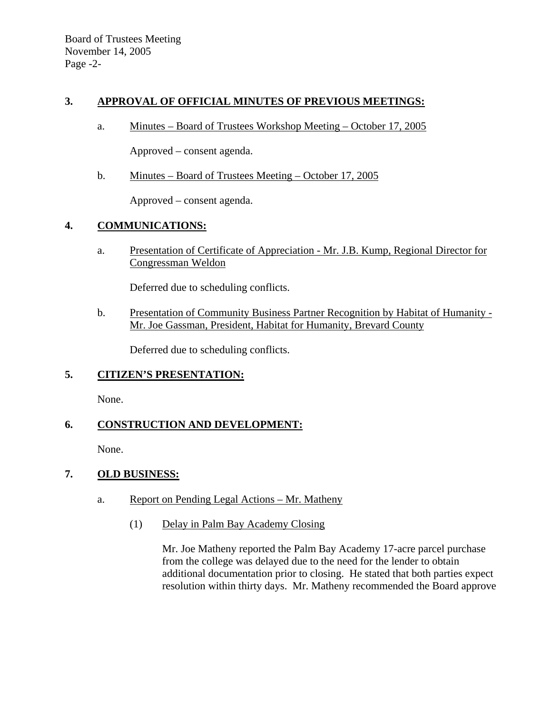## **3. APPROVAL OF OFFICIAL MINUTES OF PREVIOUS MEETINGS:**

a. Minutes – Board of Trustees Workshop Meeting – October 17, 2005

Approved – consent agenda.

b. Minutes – Board of Trustees Meeting – October 17, 2005

Approved – consent agenda.

## **4. COMMUNICATIONS:**

a. Presentation of Certificate of Appreciation - Mr. J.B. Kump, Regional Director for Congressman Weldon

Deferred due to scheduling conflicts.

b. Presentation of Community Business Partner Recognition by Habitat of Humanity - Mr. Joe Gassman, President, Habitat for Humanity, Brevard County

Deferred due to scheduling conflicts.

## **5. CITIZEN'S PRESENTATION:**

None.

# **6. CONSTRUCTION AND DEVELOPMENT:**

None.

## **7. OLD BUSINESS:**

- a. Report on Pending Legal Actions Mr. Matheny
	- (1) Delay in Palm Bay Academy Closing

Mr. Joe Matheny reported the Palm Bay Academy 17-acre parcel purchase from the college was delayed due to the need for the lender to obtain additional documentation prior to closing. He stated that both parties expect resolution within thirty days. Mr. Matheny recommended the Board approve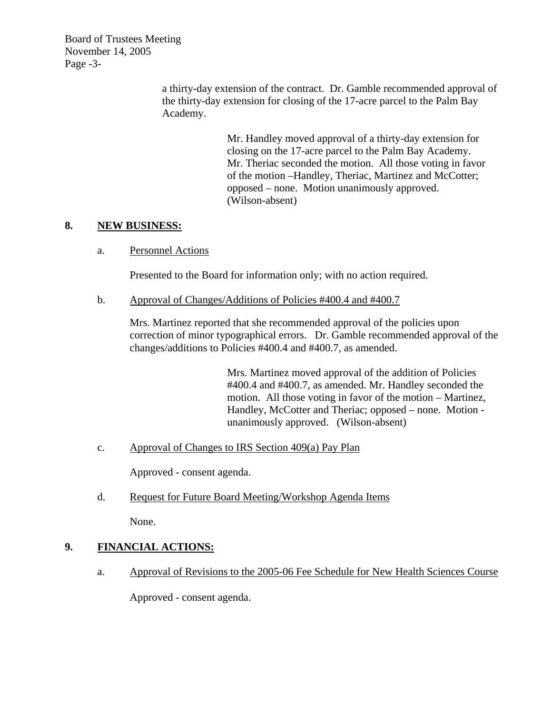Board of Trustees Meeting November 14, 2005 Page -3-

> a thirty-day extension of the contract. Dr. Gamble recommended approval of the thirty-day extension for closing of the 17-acre parcel to the Palm Bay Academy.

> > Mr. Handley moved approval of a thirty-day extension for closing on the 17-acre parcel to the Palm Bay Academy. Mr. Theriac seconded the motion. All those voting in favor of the motion –Handley, Theriac, Martinez and McCotter; opposed – none. Motion unanimously approved. (Wilson-absent)

## **8. NEW BUSINESS:**

a. Personnel Actions

Presented to the Board for information only; with no action required.

b. Approval of Changes/Additions of Policies #400.4 and #400.7

Mrs. Martinez reported that she recommended approval of the policies upon correction of minor typographical errors. Dr. Gamble recommended approval of the changes/additions to Policies #400.4 and #400.7, as amended.

> Mrs. Martinez moved approval of the addition of Policies #400.4 and #400.7, as amended. Mr. Handley seconded the motion. All those voting in favor of the motion – Martinez, Handley, McCotter and Theriac; opposed – none. Motion unanimously approved. (Wilson-absent)

c. Approval of Changes to IRS Section 409(a) Pay Plan

Approved - consent agenda.

d. Request for Future Board Meeting/Workshop Agenda Items

None.

# **9. FINANCIAL ACTIONS:**

a. Approval of Revisions to the 2005-06 Fee Schedule for New Health Sciences Course

Approved - consent agenda.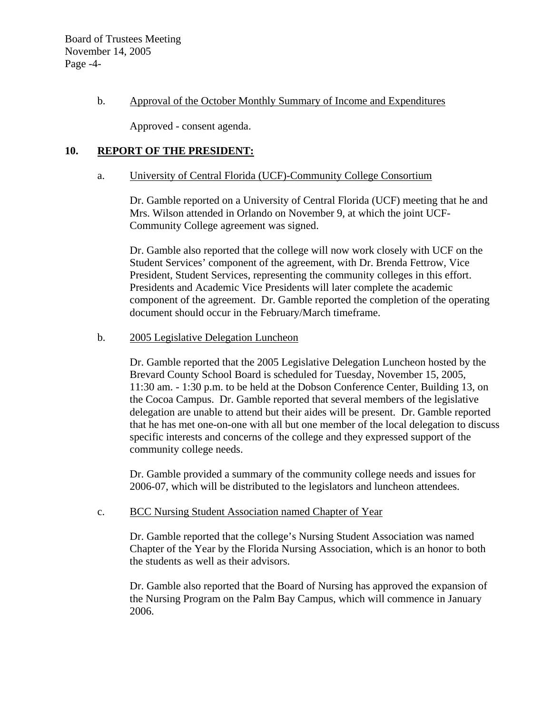Board of Trustees Meeting November 14, 2005 Page -4-

#### b. Approval of the October Monthly Summary of Income and Expenditures

Approved - consent agenda.

## **10. REPORT OF THE PRESIDENT:**

#### a. University of Central Florida (UCF)-Community College Consortium

Dr. Gamble reported on a University of Central Florida (UCF) meeting that he and Mrs. Wilson attended in Orlando on November 9, at which the joint UCF-Community College agreement was signed.

Dr. Gamble also reported that the college will now work closely with UCF on the Student Services' component of the agreement, with Dr. Brenda Fettrow, Vice President, Student Services, representing the community colleges in this effort. Presidents and Academic Vice Presidents will later complete the academic component of the agreement. Dr. Gamble reported the completion of the operating document should occur in the February/March timeframe.

#### b. 2005 Legislative Delegation Luncheon

Dr. Gamble reported that the 2005 Legislative Delegation Luncheon hosted by the Brevard County School Board is scheduled for Tuesday, November 15, 2005, 11:30 am. - 1:30 p.m. to be held at the Dobson Conference Center, Building 13, on the Cocoa Campus. Dr. Gamble reported that several members of the legislative delegation are unable to attend but their aides will be present. Dr. Gamble reported that he has met one-on-one with all but one member of the local delegation to discuss specific interests and concerns of the college and they expressed support of the community college needs.

Dr. Gamble provided a summary of the community college needs and issues for 2006-07, which will be distributed to the legislators and luncheon attendees.

#### c. BCC Nursing Student Association named Chapter of Year

Dr. Gamble reported that the college's Nursing Student Association was named Chapter of the Year by the Florida Nursing Association, which is an honor to both the students as well as their advisors.

Dr. Gamble also reported that the Board of Nursing has approved the expansion of the Nursing Program on the Palm Bay Campus, which will commence in January 2006.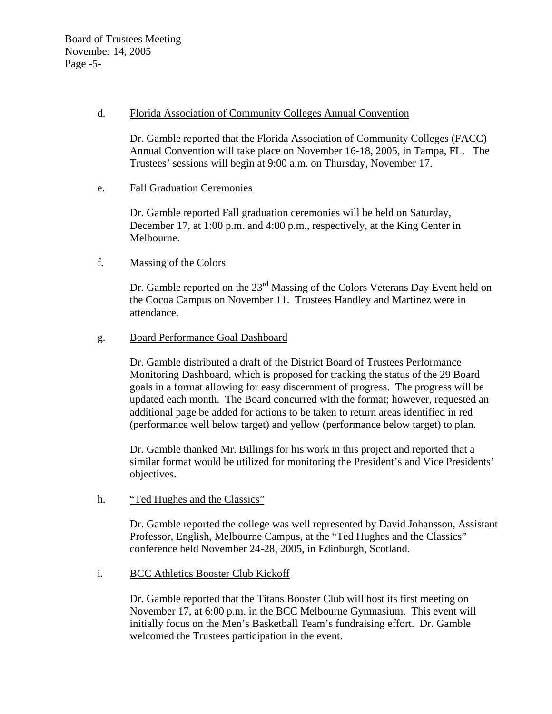#### d. Florida Association of Community Colleges Annual Convention

Dr. Gamble reported that the Florida Association of Community Colleges (FACC) Annual Convention will take place on November 16-18, 2005, in Tampa, FL. The Trustees' sessions will begin at 9:00 a.m. on Thursday, November 17.

#### e. Fall Graduation Ceremonies

 Dr. Gamble reported Fall graduation ceremonies will be held on Saturday, December 17, at 1:00 p.m. and 4:00 p.m., respectively, at the King Center in Melbourne.

## f. Massing of the Colors

Dr. Gamble reported on the 23<sup>rd</sup> Massing of the Colors Veterans Day Event held on the Cocoa Campus on November 11. Trustees Handley and Martinez were in attendance.

#### g. Board Performance Goal Dashboard

Dr. Gamble distributed a draft of the District Board of Trustees Performance Monitoring Dashboard, which is proposed for tracking the status of the 29 Board goals in a format allowing for easy discernment of progress. The progress will be updated each month. The Board concurred with the format; however, requested an additional page be added for actions to be taken to return areas identified in red (performance well below target) and yellow (performance below target) to plan.

Dr. Gamble thanked Mr. Billings for his work in this project and reported that a similar format would be utilized for monitoring the President's and Vice Presidents' objectives.

#### h. "Ted Hughes and the Classics"

Dr. Gamble reported the college was well represented by David Johansson, Assistant Professor, English, Melbourne Campus, at the "Ted Hughes and the Classics" conference held November 24-28, 2005, in Edinburgh, Scotland.

#### i. BCC Athletics Booster Club Kickoff

Dr. Gamble reported that the Titans Booster Club will host its first meeting on November 17, at 6:00 p.m. in the BCC Melbourne Gymnasium. This event will initially focus on the Men's Basketball Team's fundraising effort. Dr. Gamble welcomed the Trustees participation in the event.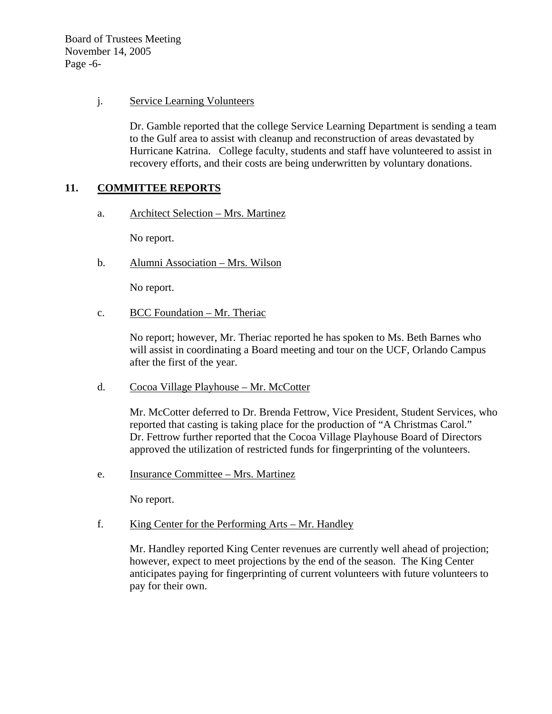Board of Trustees Meeting November 14, 2005 Page -6-

## j. Service Learning Volunteers

Dr. Gamble reported that the college Service Learning Department is sending a team to the Gulf area to assist with cleanup and reconstruction of areas devastated by Hurricane Katrina. College faculty, students and staff have volunteered to assist in recovery efforts, and their costs are being underwritten by voluntary donations.

## **11. COMMITTEE REPORTS**

a. Architect Selection – Mrs. Martinez

No report.

b. Alumni Association – Mrs. Wilson

No report.

c. BCC Foundation – Mr. Theriac

No report; however, Mr. Theriac reported he has spoken to Ms. Beth Barnes who will assist in coordinating a Board meeting and tour on the UCF, Orlando Campus after the first of the year.

d. Cocoa Village Playhouse – Mr. McCotter

Mr. McCotter deferred to Dr. Brenda Fettrow, Vice President, Student Services, who reported that casting is taking place for the production of "A Christmas Carol." Dr. Fettrow further reported that the Cocoa Village Playhouse Board of Directors approved the utilization of restricted funds for fingerprinting of the volunteers.

e. Insurance Committee – Mrs. Martinez

No report.

f. King Center for the Performing Arts – Mr. Handley

Mr. Handley reported King Center revenues are currently well ahead of projection; however, expect to meet projections by the end of the season. The King Center anticipates paying for fingerprinting of current volunteers with future volunteers to pay for their own.